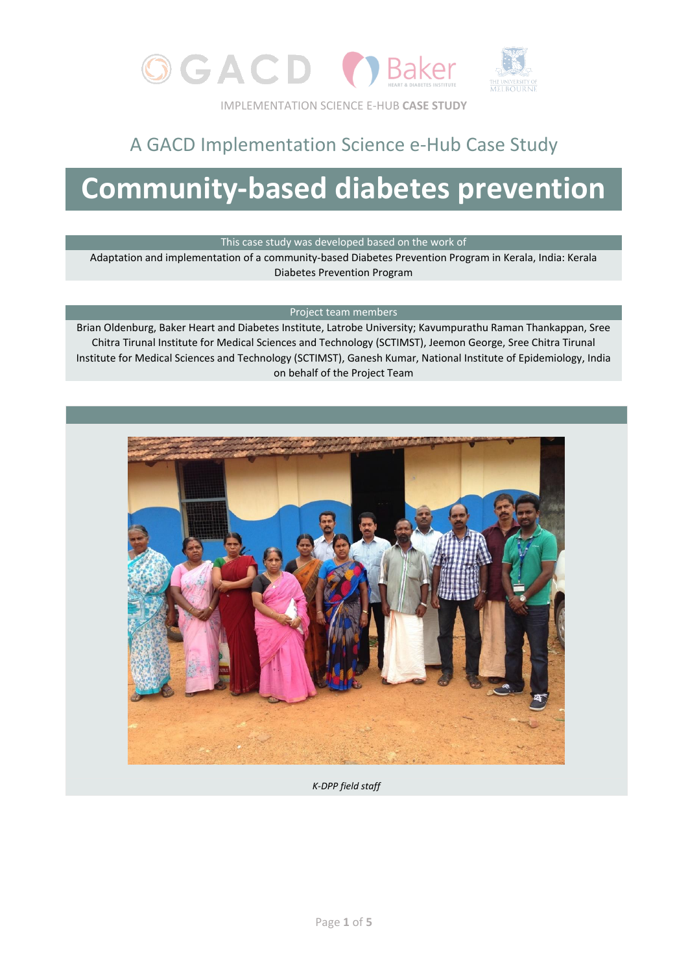

## A GACD Implementation Science e-Hub Case Study

# **Community-based diabetes prevention**

This case study was developed based on the work of

Adaptation and implementation of a community-based Diabetes Prevention Program in Kerala, India: Kerala Diabetes Prevention Program

#### Project team members

Brian Oldenburg, Baker Heart and Diabetes Institute, Latrobe University; Kavumpurathu Raman Thankappan, Sree Chitra Tirunal Institute for Medical Sciences and Technology (SCTIMST), Jeemon George, Sree Chitra Tirunal Institute for Medical Sciences and Technology (SCTIMST), Ganesh Kumar, National Institute of Epidemiology, India on behalf of the Project Team



*K-DPP field staff*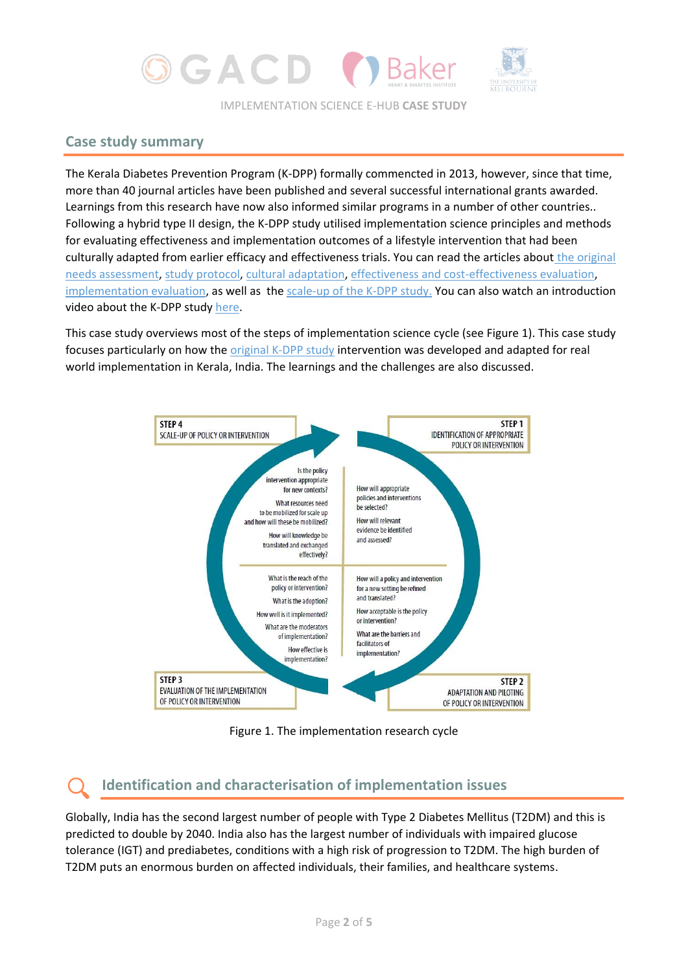

### **Case study summary**

The Kerala Diabetes Prevention Program (K-DPP) formally commencted in 2013, however, since that time, more than 40 journal articles have been published and several successful international grants awarded. Learnings from this research have now also informed similar programs in a number of other countries.. Following a hybrid type II design, the K-DPP study utilised implementation science principles and methods for evaluating effectiveness and implementation outcomes of a lifestyle intervention that had been culturally adapted from earlier efficacy and effectiveness trials. You can read the articles about [the original](https://pubmed.ncbi.nlm.nih.gov/23375152/)  [needs assessment,](https://pubmed.ncbi.nlm.nih.gov/23375152/) [study protocol,](https://pubmed.ncbi.nlm.nih.gov/24180316/) [cultural adaptation,](https://link.springer.com/article/10.1186/s12889-017-4986-0) [effectiveness and cost-effectiveness evaluation,](https://bmcmedicine.biomedcentral.com/articles/10.1186/s12916-020-01704-9) [implementation evaluation,](https://link.springer.com/article/10.1186/s13012-018-0791-0) as well as the [scale-up of the K-DPP study.](https://academic.oup.com/tbm/article-abstract/10/1/5/5721273) You can also watch an introduction video about the K-DPP stud[y here.](https://www.youtube.com/watch?v=V4yfJMgsAz8)

This case study overviews most of the steps of implementation science cycle (see Figure 1). This case study focuses particularly on how the [original K-DPP study](https://pubmed.ncbi.nlm.nih.gov/24180316/) intervention was developed and adapted for real world implementation in Kerala, India. The learnings and the challenges are also discussed.



Figure 1. The implementation research cycle

### **Identification and characterisation of implementation issues**

Globally, India has the second largest number of people with Type 2 Diabetes Mellitus (T2DM) and this is predicted to double by 2040. India also has the largest number of individuals with impaired glucose tolerance (IGT) and prediabetes, conditions with a high risk of progression to T2DM. The high burden of T2DM puts an enormous burden on affected individuals, their families, and healthcare systems.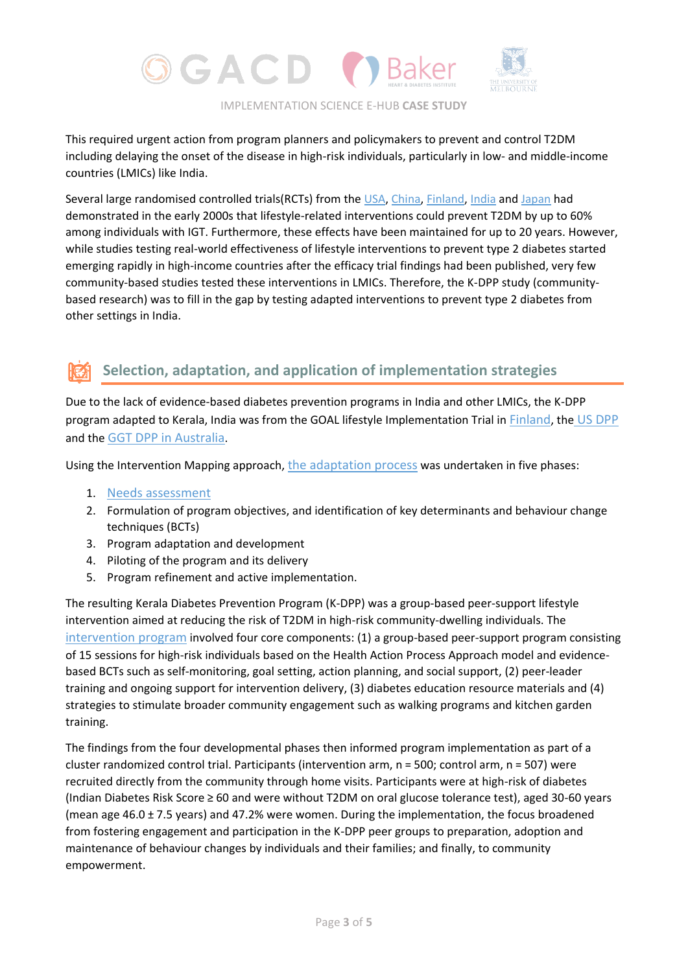

This required urgent action from program planners and policymakers to prevent and control T2DM including delaying the onset of the disease in high-risk individuals, particularly in low- and middle-income countries (LMICs) like India.

Several large randomised controlled trials(RCTs) from the [USA,](https://www.nejm.org/doi/10.1056/NEJMoa012512?url_ver=Z39.88-2003&rfr_id=ori:rid:crossref.org&rfr_dat=cr_pub%20%200www.ncbi.nlm.nih.gov) [China,](https://www.thelancet.com/journals/lancet/article/PIIS0140-6736(08)60766-7/fulltext) [Finland,](https://www.nejm.org/doi/10.1056/NEJM200105033441801?url_ver=Z39.88-2003&rfr_id=ori:rid:crossref.org&rfr_dat=cr_pub%20%200www.ncbi.nlm.nih.gov) [India](https://link.springer.com/article/10.1007%2Fs00125-005-0097-z) and [Japan](https://www.diabetesresearchclinicalpractice.com/article/S0168-8227(04)00178-0/fulltext) had demonstrated in the early 2000s that lifestyle-related interventions could prevent T2DM by up to 60% among individuals with IGT. Furthermore, these effects have been maintained for up to 20 years. However, while studies testing real-world effectiveness of lifestyle interventions to prevent type 2 diabetes started emerging rapidly in high-income countries after the efficacy trial findings had been published, very few community-based studies tested these interventions in LMICs. Therefore, the K-DPP study (communitybased research) was to fill in the gap by testing adapted interventions to prevent type 2 diabetes from other settings in India.

### **Selection, adaptation, and application of implementation strategies**

Due to the lack of evidence-based diabetes prevention programs in India and other LMICs, the K-DPP program adapted to Kerala, India was from the GOAL lifestyle Implementation Trial in [Finland](https://pubmed.ncbi.nlm.nih.gov/11333990/), the [US DPP](https://pubmed.ncbi.nlm.nih.gov/11832527/) and the [GGT DPP in Australia](https://bmcpublichealth.biomedcentral.com/articles/10.1186/1471-2458-7-249).

Using the Intervention Mapping approach, [the adaptation process](https://bmcpublichealth.biomedcentral.com/articles/10.1186/s12889-017-4986-0) was undertaken in five phases:

- 1. [Needs assessment](https://pubmed.ncbi.nlm.nih.gov/23375152/)
- 2. Formulation of program objectives, and identification of key determinants and behaviour change techniques (BCTs)
- 3. Program adaptation and development
- 4. Piloting of the program and its delivery
- 5. Program refinement and active implementation.

The resulting Kerala Diabetes Prevention Program (K-DPP) was a group-based peer-support lifestyle intervention aimed at reducing the risk of T2DM in high-risk community-dwelling individuals. The [intervention program](https://bmcpublichealth.biomedcentral.com/articles/10.1186/1471-2458-13-1035) involved four core components: (1) a group-based peer-support program consisting of 15 sessions for high-risk individuals based on the Health Action Process Approach model and evidencebased BCTs such as self-monitoring, goal setting, action planning, and social support, (2) peer-leader training and ongoing support for intervention delivery, (3) diabetes education resource materials and (4) strategies to stimulate broader community engagement such as walking programs and kitchen garden training.

The findings from the four developmental phases then informed program implementation as part of a cluster randomized control trial. Participants (intervention arm, n = 500; control arm, n = 507) were recruited directly from the community through home visits. Participants were at high-risk of diabetes (Indian Diabetes Risk Score ≥ 60 and were without T2DM on oral glucose tolerance test), aged 30-60 years (mean age 46.0 ± 7.5 years) and 47.2% were women. During the implementation, the focus broadened from fostering engagement and participation in the K-DPP peer groups to preparation, adoption and maintenance of behaviour changes by individuals and their families; and finally, to community empowerment.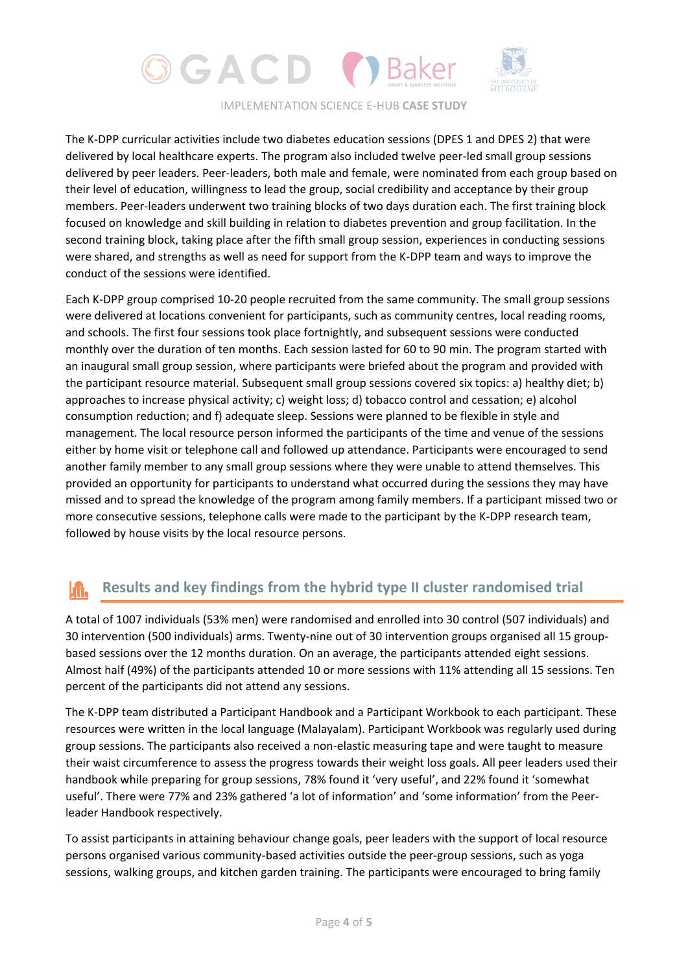

The K-DPP curricular activities include two diabetes education sessions (DPES 1 and DPES 2) that were delivered by local healthcare experts. The program also included twelve peer-led small group sessions delivered by peer leaders. Peer-leaders, both male and female, were nominated from each group based on their level of education, willingness to lead the group, social credibility and acceptance by their group members. Peer-leaders underwent two training blocks of two days duration each. The first training block focused on knowledge and skill building in relation to diabetes prevention and group facilitation. In the second training block, taking place after the fifth small group session, experiences in conducting sessions were shared, and strengths as well as need for support from the K-DPP team and ways to improve the conduct of the sessions were identified.

Each K-DPP group comprised 10-20 people recruited from the same community. The small group sessions were delivered at locations convenient for participants, such as community centres, local reading rooms, and schools. The first four sessions took place fortnightly, and subsequent sessions were conducted monthly over the duration of ten months. Each session lasted for 60 to 90 min. The program started with an inaugural small group session, where participants were briefed about the program and provided with the participant resource material. Subsequent small group sessions covered six topics: a) healthy diet; b) approaches to increase physical activity; c) weight loss; d) tobacco control and cessation; e) alcohol consumption reduction; and f) adequate sleep. Sessions were planned to be flexible in style and management. The local resource person informed the participants of the time and venue of the sessions either by home visit or telephone call and followed up attendance. Participants were encouraged to send another family member to any small group sessions where they were unable to attend themselves. This provided an opportunity for participants to understand what occurred during the sessions they may have missed and to spread the knowledge of the program among family members. If a participant missed two or more consecutive sessions, telephone calls were made to the participant by the K-DPP research team, followed by house visits by the local resource persons.

#### **Results and key findings from the hybrid type II cluster randomised trial** lm.

A total of 1007 individuals (53% men) were randomised and enrolled into 30 control (507 individuals) and 30 intervention (500 individuals) arms. Twenty-nine out of 30 intervention groups organised all 15 groupbased sessions over the 12 months duration. On an average, the participants attended eight sessions. Almost half (49%) of the participants attended 10 or more sessions with 11% attending all 15 sessions. Ten percent of the participants did not attend any sessions.

The K-DPP team distributed a Participant Handbook and a Participant Workbook to each participant. These resources were written in the local language (Malayalam). Participant Workbook was regularly used during group sessions. The participants also received a non-elastic measuring tape and were taught to measure their waist circumference to assess the progress towards their weight loss goals. All peer leaders used their handbook while preparing for group sessions, 78% found it 'very useful', and 22% found it 'somewhat useful'. There were 77% and 23% gathered 'a lot of information' and 'some information' from the Peerleader Handbook respectively.

To assist participants in attaining behaviour change goals, peer leaders with the support of local resource persons organised various community-based activities outside the peer-group sessions, such as yoga sessions, walking groups, and kitchen garden training. The participants were encouraged to bring family